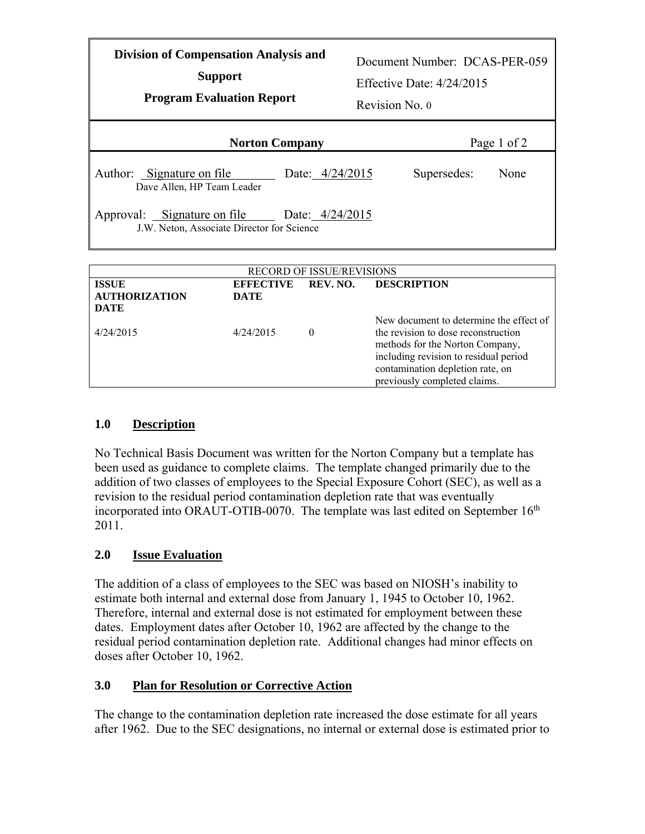| <b>Division of Compensation Analysis and</b><br><b>Support</b><br><b>Program Evaluation Report</b> |                 | Document Number: DCAS-PER-059<br>Effective Date: $4/24/2015$<br>Revision No. 0 |             |  |  |
|----------------------------------------------------------------------------------------------------|-----------------|--------------------------------------------------------------------------------|-------------|--|--|
| <b>Norton Company</b>                                                                              |                 |                                                                                | Page 1 of 2 |  |  |
| Author: Signature on file<br>Dave Allen, HP Team Leader                                            | Date: 4/24/2015 | Supersedes:                                                                    | None        |  |  |
| Approval: Signature on file Date: 4/24/2015<br>J.W. Neton, Associate Director for Science          |                 |                                                                                |             |  |  |
|                                                                                                    |                 |                                                                                |             |  |  |
| <b>RECORD OF ISSUE/REVISIONS</b>                                                                   |                 |                                                                                |             |  |  |
| <b>ISSUE</b><br><b>EFFECTIVE</b><br>$\sim$ $\sim$ $\sim$<br><b>TIMETAD THE</b>                     | REV. NO.        | <b>DESCRIPTION</b>                                                             |             |  |  |

|                                    | New document to determine the effect of                                                                                                                                             |
|------------------------------------|-------------------------------------------------------------------------------------------------------------------------------------------------------------------------------------|
| 4/24/2015<br>4/24/2015<br>$\theta$ | the revision to dose reconstruction<br>methods for the Norton Company,<br>including revision to residual period<br>contamination depletion rate, on<br>previously completed claims. |

## **1.0 Description**

No Technical Basis Document was written for the Norton Company but a template has been used as guidance to complete claims. The template changed primarily due to the addition of two classes of employees to the Special Exposure Cohort (SEC), as well as a revision to the residual period contamination depletion rate that was eventually incorporated into ORAUT-OTIB-0070. The template was last edited on September  $16<sup>th</sup>$ 2011.

## **2.0 Issue Evaluation**

The addition of a class of employees to the SEC was based on NIOSH's inability to estimate both internal and external dose from January 1, 1945 to October 10, 1962. Therefore, internal and external dose is not estimated for employment between these dates. Employment dates after October 10, 1962 are affected by the change to the residual period contamination depletion rate. Additional changes had minor effects on doses after October 10, 1962.

## **3.0 Plan for Resolution or Corrective Action**

The change to the contamination depletion rate increased the dose estimate for all years after 1962. Due to the SEC designations, no internal or external dose is estimated prior to